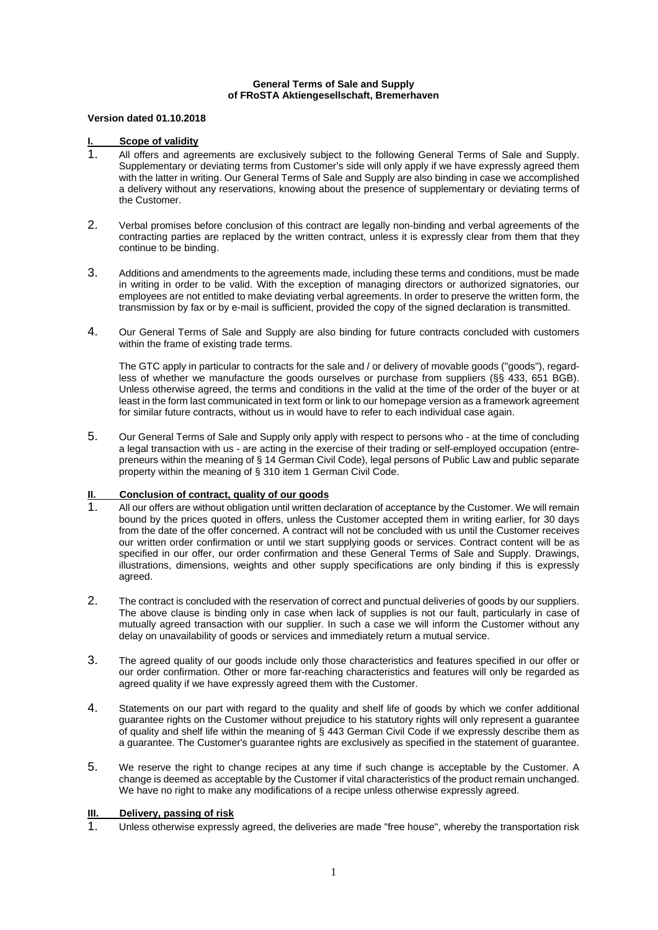#### **General Terms of Sale and Supply of FRoSTA Aktiengesellschaft, Bremerhaven**

#### **Version dated 01.10.2018**

### **I. Scope of validity**

- 1. All offers and agreements are exclusively subject to the following General Terms of Sale and Supply. Supplementary or deviating terms from Customer's side will only apply if we have expressly agreed them with the latter in writing. Our General Terms of Sale and Supply are also binding in case we accomplished a delivery without any reservations, knowing about the presence of supplementary or deviating terms of the Customer.
- 2. Verbal promises before conclusion of this contract are legally non-binding and verbal agreements of the contracting parties are replaced by the written contract, unless it is expressly clear from them that they continue to be binding.
- 3. Additions and amendments to the agreements made, including these terms and conditions, must be made in writing in order to be valid. With the exception of managing directors or authorized signatories, our employees are not entitled to make deviating verbal agreements. In order to preserve the written form, the transmission by fax or by e-mail is sufficient, provided the copy of the signed declaration is transmitted.
- 4. Our General Terms of Sale and Supply are also binding for future contracts concluded with customers within the frame of existing trade terms.

The GTC apply in particular to contracts for the sale and / or delivery of movable goods ("goods"), regardless of whether we manufacture the goods ourselves or purchase from suppliers (§§ 433, 651 BGB). Unless otherwise agreed, the terms and conditions in the valid at the time of the order of the buyer or at least in the form last communicated in text form or link to our homepage version as a framework agreement for similar future contracts, without us in would have to refer to each individual case again.

5. Our General Terms of Sale and Supply only apply with respect to persons who - at the time of concluding a legal transaction with us - are acting in the exercise of their trading or self-employed occupation (entrepreneurs within the meaning of § 14 German Civil Code), legal persons of Public Law and public separate property within the meaning of § 310 item 1 German Civil Code.

# **II. Conclusion of contract, quality of our goods**

- 1. All our offers are without obligation until written declaration of acceptance by the Customer. We will remain bound by the prices quoted in offers, unless the Customer accepted them in writing earlier, for 30 days from the date of the offer concerned. A contract will not be concluded with us until the Customer receives our written order confirmation or until we start supplying goods or services. Contract content will be as specified in our offer, our order confirmation and these General Terms of Sale and Supply. Drawings, illustrations, dimensions, weights and other supply specifications are only binding if this is expressly agreed.
- 2. The contract is concluded with the reservation of correct and punctual deliveries of goods by our suppliers. The above clause is binding only in case when lack of supplies is not our fault, particularly in case of mutually agreed transaction with our supplier. In such a case we will inform the Customer without any delay on unavailability of goods or services and immediately return a mutual service.
- 3. The agreed quality of our goods include only those characteristics and features specified in our offer or our order confirmation. Other or more far-reaching characteristics and features will only be regarded as agreed quality if we have expressly agreed them with the Customer.
- 4. Statements on our part with regard to the quality and shelf life of goods by which we confer additional guarantee rights on the Customer without prejudice to his statutory rights will only represent a guarantee of quality and shelf life within the meaning of § 443 German Civil Code if we expressly describe them as a guarantee. The Customer's guarantee rights are exclusively as specified in the statement of guarantee.
- 5. We reserve the right to change recipes at any time if such change is acceptable by the Customer. A change is deemed as acceptable by the Customer if vital characteristics of the product remain unchanged. We have no right to make any modifications of a recipe unless otherwise expressly agreed.

# **III. Delivery, passing of risk**

1. Unless otherwise expressly agreed, the deliveries are made "free house", whereby the transportation risk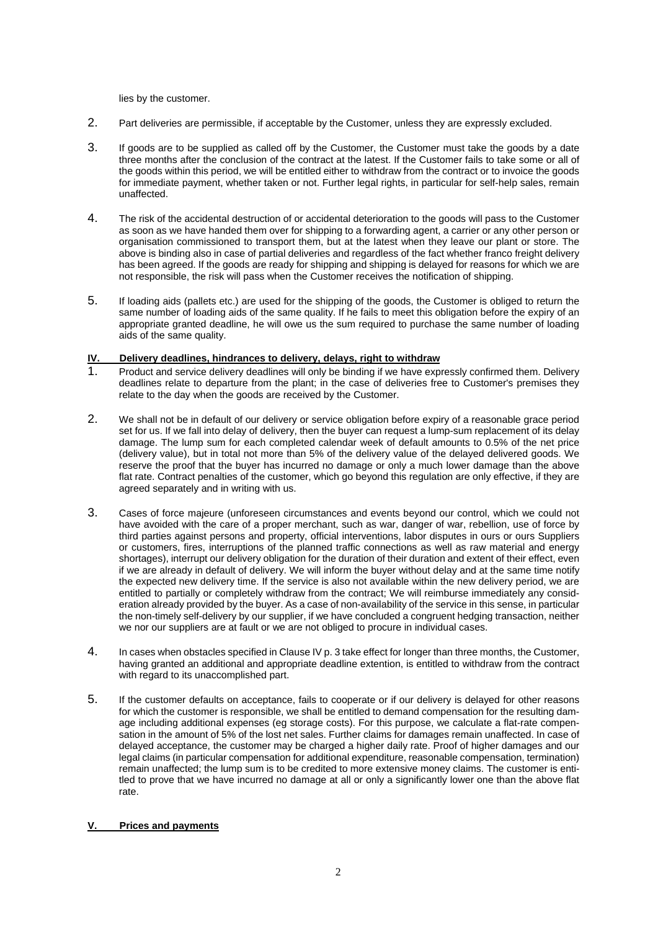lies by the customer.

- 2. Part deliveries are permissible, if acceptable by the Customer, unless they are expressly excluded.
- 3. If goods are to be supplied as called off by the Customer, the Customer must take the goods by a date three months after the conclusion of the contract at the latest. If the Customer fails to take some or all of the goods within this period, we will be entitled either to withdraw from the contract or to invoice the goods for immediate payment, whether taken or not. Further legal rights, in particular for self-help sales, remain unaffected.
- 4. The risk of the accidental destruction of or accidental deterioration to the goods will pass to the Customer as soon as we have handed them over for shipping to a forwarding agent, a carrier or any other person or organisation commissioned to transport them, but at the latest when they leave our plant or store. The above is binding also in case of partial deliveries and regardless of the fact whether franco freight delivery has been agreed. If the goods are ready for shipping and shipping is delayed for reasons for which we are not responsible, the risk will pass when the Customer receives the notification of shipping.
- 5. If loading aids (pallets etc.) are used for the shipping of the goods, the Customer is obliged to return the same number of loading aids of the same quality. If he fails to meet this obligation before the expiry of an appropriate granted deadline, he will owe us the sum required to purchase the same number of loading aids of the same quality.

# **IV. Delivery deadlines, hindrances to delivery, delays, right to withdraw**

- 1. Product and service delivery deadlines will only be binding if we have expressly confirmed them. Delivery deadlines relate to departure from the plant; in the case of deliveries free to Customer's premises they relate to the day when the goods are received by the Customer.
- 2. We shall not be in default of our delivery or service obligation before expiry of a reasonable grace period set for us. If we fall into delay of delivery, then the buyer can request a lump-sum replacement of its delay damage. The lump sum for each completed calendar week of default amounts to 0.5% of the net price (delivery value), but in total not more than 5% of the delivery value of the delayed delivered goods. We reserve the proof that the buyer has incurred no damage or only a much lower damage than the above flat rate. Contract penalties of the customer, which go beyond this regulation are only effective, if they are agreed separately and in writing with us.
- 3. Cases of force majeure (unforeseen circumstances and events beyond our control, which we could not have avoided with the care of a proper merchant, such as war, danger of war, rebellion, use of force by third parties against persons and property, official interventions, labor disputes in ours or ours Suppliers or customers, fires, interruptions of the planned traffic connections as well as raw material and energy shortages), interrupt our delivery obligation for the duration of their duration and extent of their effect, even if we are already in default of delivery. We will inform the buyer without delay and at the same time notify the expected new delivery time. If the service is also not available within the new delivery period, we are entitled to partially or completely withdraw from the contract; We will reimburse immediately any consideration already provided by the buyer. As a case of non-availability of the service in this sense, in particular the non-timely self-delivery by our supplier, if we have concluded a congruent hedging transaction, neither we nor our suppliers are at fault or we are not obliged to procure in individual cases.
- 4. In cases when obstacles specified in Clause IV p. 3 take effect for longer than three months, the Customer, having granted an additional and appropriate deadline extention, is entitled to withdraw from the contract with regard to its unaccomplished part.
- 5. If the customer defaults on acceptance, fails to cooperate or if our delivery is delayed for other reasons for which the customer is responsible, we shall be entitled to demand compensation for the resulting damage including additional expenses (eg storage costs). For this purpose, we calculate a flat-rate compensation in the amount of 5% of the lost net sales. Further claims for damages remain unaffected. In case of delayed acceptance, the customer may be charged a higher daily rate. Proof of higher damages and our legal claims (in particular compensation for additional expenditure, reasonable compensation, termination) remain unaffected; the lump sum is to be credited to more extensive money claims. The customer is entitled to prove that we have incurred no damage at all or only a significantly lower one than the above flat rate.

# **V. Prices and payments**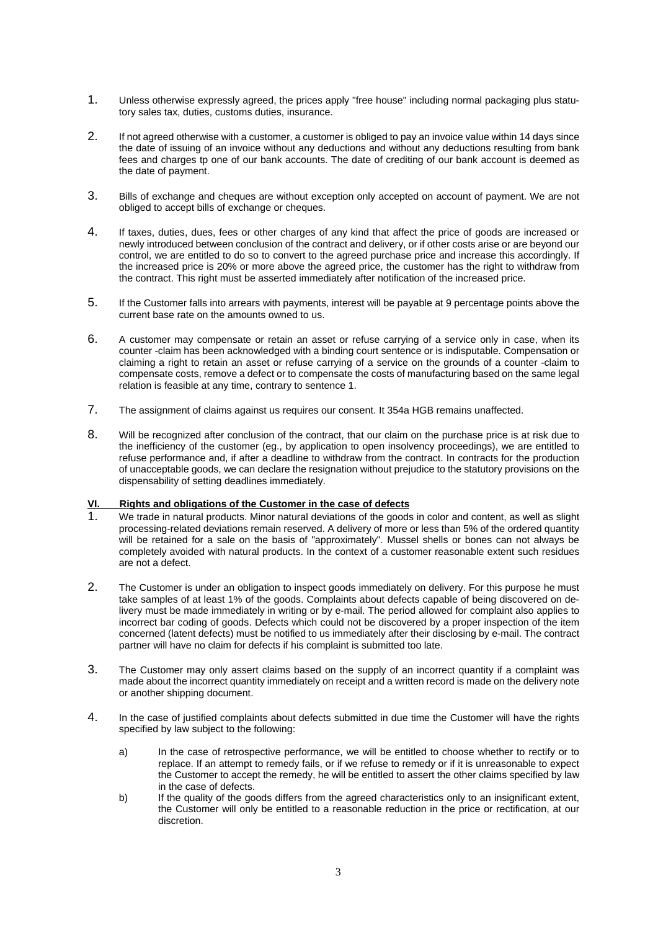- 1. Unless otherwise expressly agreed, the prices apply "free house" including normal packaging plus statutory sales tax, duties, customs duties, insurance.
- 2. If not agreed otherwise with a customer, a customer is obliged to pay an invoice value within 14 days since the date of issuing of an invoice without any deductions and without any deductions resulting from bank fees and charges tp one of our bank accounts. The date of crediting of our bank account is deemed as the date of payment.
- 3. Bills of exchange and cheques are without exception only accepted on account of payment. We are not obliged to accept bills of exchange or cheques.
- 4. If taxes, duties, dues, fees or other charges of any kind that affect the price of goods are increased or newly introduced between conclusion of the contract and delivery, or if other costs arise or are beyond our control, we are entitled to do so to convert to the agreed purchase price and increase this accordingly. If the increased price is 20% or more above the agreed price, the customer has the right to withdraw from the contract. This right must be asserted immediately after notification of the increased price.
- 5. If the Customer falls into arrears with payments, interest will be payable at 9 percentage points above the current base rate on the amounts owned to us.
- 6. A customer may compensate or retain an asset or refuse carrying of a service only in case, when its counter -claim has been acknowledged with a binding court sentence or is indisputable. Compensation or claiming a right to retain an asset or refuse carrying of a service on the grounds of a counter -claim to compensate costs, remove a defect or to compensate the costs of manufacturing based on the same legal relation is feasible at any time, contrary to sentence 1.
- 7. The assignment of claims against us requires our consent. It 354a HGB remains unaffected.
- 8. Will be recognized after conclusion of the contract, that our claim on the purchase price is at risk due to the inefficiency of the customer (eg., by application to open insolvency proceedings), we are entitled to refuse performance and, if after a deadline to withdraw from the contract. In contracts for the production of unacceptable goods, we can declare the resignation without prejudice to the statutory provisions on the dispensability of setting deadlines immediately.

# **VI. Rights and obligations of the Customer in the case of defects**

- 1. We trade in natural products. Minor natural deviations of the goods in color and content, as well as slight processing-related deviations remain reserved. A delivery of more or less than 5% of the ordered quantity will be retained for a sale on the basis of "approximately". Mussel shells or bones can not always be completely avoided with natural products. In the context of a customer reasonable extent such residues are not a defect.
- 2. The Customer is under an obligation to inspect goods immediately on delivery. For this purpose he must take samples of at least 1% of the goods. Complaints about defects capable of being discovered on delivery must be made immediately in writing or by e-mail. The period allowed for complaint also applies to incorrect bar coding of goods. Defects which could not be discovered by a proper inspection of the item concerned (latent defects) must be notified to us immediately after their disclosing by e-mail. The contract partner will have no claim for defects if his complaint is submitted too late.
- 3. The Customer may only assert claims based on the supply of an incorrect quantity if a complaint was made about the incorrect quantity immediately on receipt and a written record is made on the delivery note or another shipping document.
- 4. In the case of justified complaints about defects submitted in due time the Customer will have the rights specified by law subject to the following:
	- a) In the case of retrospective performance, we will be entitled to choose whether to rectify or to replace. If an attempt to remedy fails, or if we refuse to remedy or if it is unreasonable to expect the Customer to accept the remedy, he will be entitled to assert the other claims specified by law in the case of defects.
	- b) If the quality of the goods differs from the agreed characteristics only to an insignificant extent, the Customer will only be entitled to a reasonable reduction in the price or rectification, at our discretion.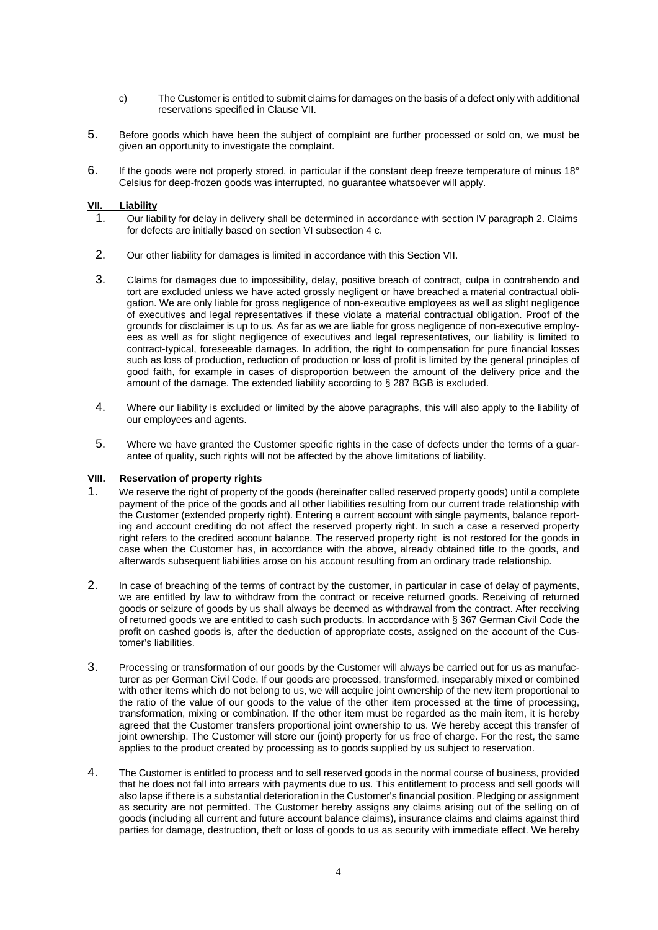- c) The Customer is entitled to submit claims for damages on the basis of a defect only with additional reservations specified in Clause VII.
- 5. Before goods which have been the subject of complaint are further processed or sold on, we must be given an opportunity to investigate the complaint.
- 6. If the goods were not properly stored, in particular if the constant deep freeze temperature of minus 18° Celsius for deep-frozen goods was interrupted, no guarantee whatsoever will apply.

### **VII. Liability**

- 1. Our liability for delay in delivery shall be determined in accordance with section IV paragraph 2. Claims for defects are initially based on section VI subsection 4 c.
- 2. Our other liability for damages is limited in accordance with this Section VII.
- 3. Claims for damages due to impossibility, delay, positive breach of contract, culpa in contrahendo and tort are excluded unless we have acted grossly negligent or have breached a material contractual obligation. We are only liable for gross negligence of non-executive employees as well as slight negligence of executives and legal representatives if these violate a material contractual obligation. Proof of the grounds for disclaimer is up to us. As far as we are liable for gross negligence of non-executive employees as well as for slight negligence of executives and legal representatives, our liability is limited to contract-typical, foreseeable damages. In addition, the right to compensation for pure financial losses such as loss of production, reduction of production or loss of profit is limited by the general principles of good faith, for example in cases of disproportion between the amount of the delivery price and the amount of the damage. The extended liability according to § 287 BGB is excluded.
- 4. Where our liability is excluded or limited by the above paragraphs, this will also apply to the liability of our employees and agents.
- 5. Where we have granted the Customer specific rights in the case of defects under the terms of a guarantee of quality, such rights will not be affected by the above limitations of liability.

#### **VIII. Reservation of property rights**

- 1. We reserve the right of property of the goods (hereinafter called reserved property goods) until a complete payment of the price of the goods and all other liabilities resulting from our current trade relationship with the Customer (extended property right). Entering a current account with single payments, balance reporting and account crediting do not affect the reserved property right. In such a case a reserved property right refers to the credited account balance. The reserved property right is not restored for the goods in case when the Customer has, in accordance with the above, already obtained title to the goods, and afterwards subsequent liabilities arose on his account resulting from an ordinary trade relationship.
- 2. In case of breaching of the terms of contract by the customer, in particular in case of delay of payments, we are entitled by law to withdraw from the contract or receive returned goods. Receiving of returned goods or seizure of goods by us shall always be deemed as withdrawal from the contract. After receiving of returned goods we are entitled to cash such products. In accordance with § 367 German Civil Code the profit on cashed goods is, after the deduction of appropriate costs, assigned on the account of the Customer's liabilities.
- 3. Processing or transformation of our goods by the Customer will always be carried out for us as manufacturer as per German Civil Code. If our goods are processed, transformed, inseparably mixed or combined with other items which do not belong to us, we will acquire joint ownership of the new item proportional to the ratio of the value of our goods to the value of the other item processed at the time of processing, transformation, mixing or combination. If the other item must be regarded as the main item, it is hereby agreed that the Customer transfers proportional joint ownership to us. We hereby accept this transfer of joint ownership. The Customer will store our (joint) property for us free of charge. For the rest, the same applies to the product created by processing as to goods supplied by us subject to reservation.
- 4. The Customer is entitled to process and to sell reserved goods in the normal course of business, provided that he does not fall into arrears with payments due to us. This entitlement to process and sell goods will also lapse if there is a substantial deterioration in the Customer's financial position. Pledging or assignment as security are not permitted. The Customer hereby assigns any claims arising out of the selling on of goods (including all current and future account balance claims), insurance claims and claims against third parties for damage, destruction, theft or loss of goods to us as security with immediate effect. We hereby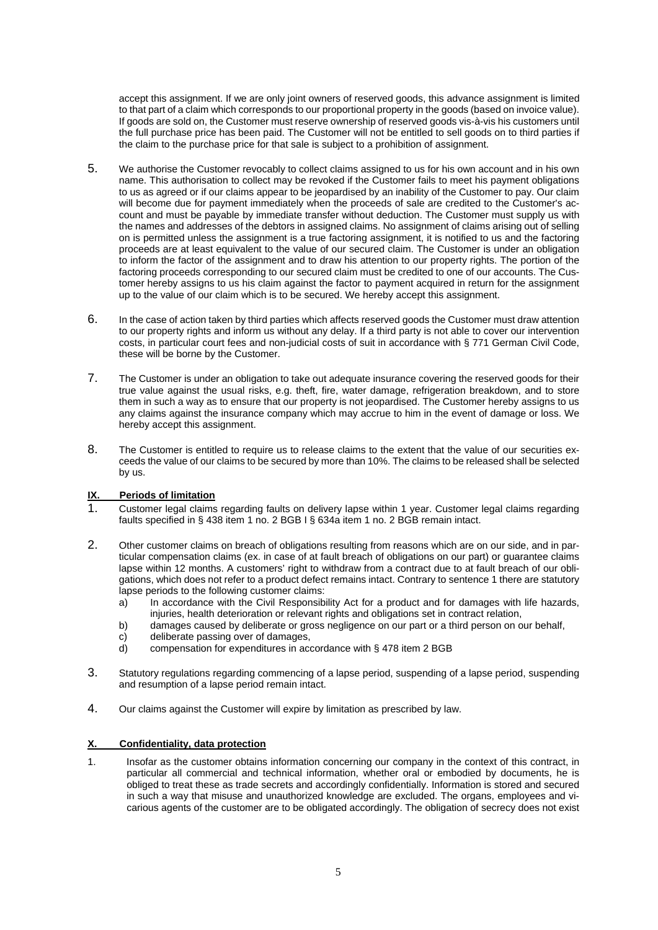accept this assignment. If we are only joint owners of reserved goods, this advance assignment is limited to that part of a claim which corresponds to our proportional property in the goods (based on invoice value). If goods are sold on, the Customer must reserve ownership of reserved goods vis-à-vis his customers until the full purchase price has been paid. The Customer will not be entitled to sell goods on to third parties if the claim to the purchase price for that sale is subject to a prohibition of assignment.

- 5. We authorise the Customer revocably to collect claims assigned to us for his own account and in his own name. This authorisation to collect may be revoked if the Customer fails to meet his payment obligations to us as agreed or if our claims appear to be jeopardised by an inability of the Customer to pay. Our claim will become due for payment immediately when the proceeds of sale are credited to the Customer's account and must be payable by immediate transfer without deduction. The Customer must supply us with the names and addresses of the debtors in assigned claims. No assignment of claims arising out of selling on is permitted unless the assignment is a true factoring assignment, it is notified to us and the factoring proceeds are at least equivalent to the value of our secured claim. The Customer is under an obligation to inform the factor of the assignment and to draw his attention to our property rights. The portion of the factoring proceeds corresponding to our secured claim must be credited to one of our accounts. The Customer hereby assigns to us his claim against the factor to payment acquired in return for the assignment up to the value of our claim which is to be secured. We hereby accept this assignment.
- 6. In the case of action taken by third parties which affects reserved goods the Customer must draw attention to our property rights and inform us without any delay. If a third party is not able to cover our intervention costs, in particular court fees and non-judicial costs of suit in accordance with § 771 German Civil Code, these will be borne by the Customer.
- 7. The Customer is under an obligation to take out adequate insurance covering the reserved goods for their true value against the usual risks, e.g. theft, fire, water damage, refrigeration breakdown, and to store them in such a way as to ensure that our property is not jeopardised. The Customer hereby assigns to us any claims against the insurance company which may accrue to him in the event of damage or loss. We hereby accept this assignment.
- 8. The Customer is entitled to require us to release claims to the extent that the value of our securities exceeds the value of our claims to be secured by more than 10%. The claims to be released shall be selected by us.

# **IX. Periods of limitation**

- 1. Customer legal claims regarding faults on delivery lapse within 1 year. Customer legal claims regarding faults specified in § 438 item 1 no. 2 BGB I § 634a item 1 no. 2 BGB remain intact.
- 2. Other customer claims on breach of obligations resulting from reasons which are on our side, and in particular compensation claims (ex. in case of at fault breach of obligations on our part) or guarantee claims lapse within 12 months. A customers' right to withdraw from a contract due to at fault breach of our obligations, which does not refer to a product defect remains intact. Contrary to sentence 1 there are statutory lapse periods to the following customer claims:
	- a) In accordance with the Civil Responsibility Act for a product and for damages with life hazards, injuries, health deterioration or relevant rights and obligations set in contract relation,
	- b) damages caused by deliberate or gross negligence on our part or a third person on our behalf,
	- c) deliberate passing over of damages,<br>d) compensation for expenditures in acc
	- compensation for expenditures in accordance with § 478 item 2 BGB
- 3. Statutory regulations regarding commencing of a lapse period, suspending of a lapse period, suspending and resumption of a lapse period remain intact.
- 4. Our claims against the Customer will expire by limitation as prescribed by law.

#### **X. Confidentiality, data protection**

1. Insofar as the customer obtains information concerning our company in the context of this contract, in particular all commercial and technical information, whether oral or embodied by documents, he is obliged to treat these as trade secrets and accordingly confidentially. Information is stored and secured in such a way that misuse and unauthorized knowledge are excluded. The organs, employees and vicarious agents of the customer are to be obligated accordingly. The obligation of secrecy does not exist